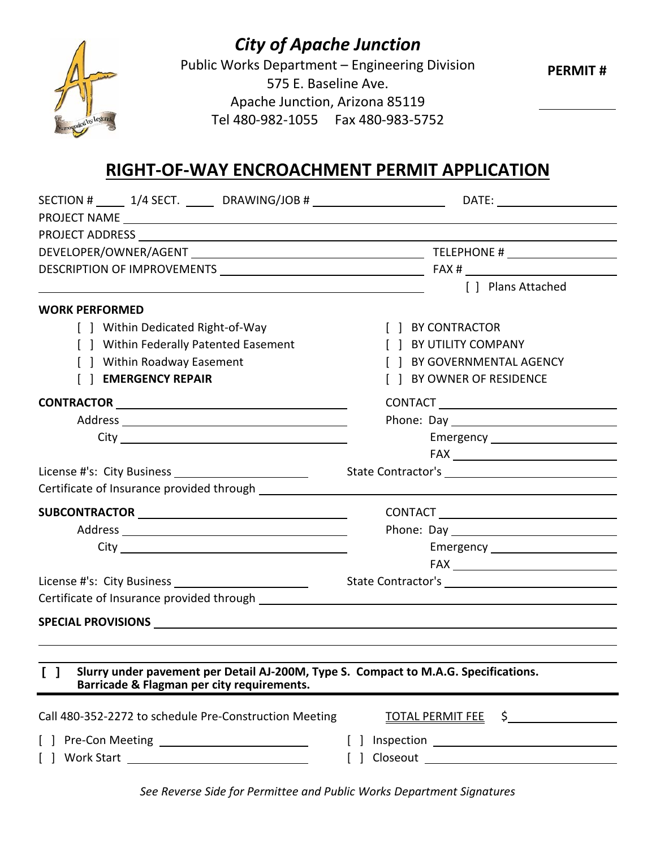

## *City of Apache Junction*

Public Works Department – Engineering Division 575 E. Baseline Ave. Apache Junction, Arizona 85119 Tel 480-982-1055 Fax 480-983-5752

 **PERMIT #**

## **RIGHT-OF-WAY ENCROACHMENT PERMIT APPLICATION**

| SECTION # ______ 1/4 SECT. _______ DRAWING/JOB # _____________________________DATE: ________________                  |                                       |  |
|-----------------------------------------------------------------------------------------------------------------------|---------------------------------------|--|
|                                                                                                                       |                                       |  |
|                                                                                                                       |                                       |  |
|                                                                                                                       |                                       |  |
|                                                                                                                       |                                       |  |
| <u> 1980 - Johann Barbara, martin amerikan basar dan berasal dalam basar dalam basar dalam basar dalam basar dala</u> | [ ] Plans Attached                    |  |
| <b>WORK PERFORMED</b>                                                                                                 |                                       |  |
| Within Dedicated Right-of-Way                                                                                         | [ ] BY CONTRACTOR                     |  |
| [ ] Within Federally Patented Easement                                                                                | [ ] BY UTILITY COMPANY                |  |
| [ ] Within Roadway Easement                                                                                           | [ ] BY GOVERNMENTAL AGENCY            |  |
| [ ] EMERGENCY REPAIR                                                                                                  | [ ] BY OWNER OF RESIDENCE             |  |
|                                                                                                                       |                                       |  |
|                                                                                                                       |                                       |  |
|                                                                                                                       |                                       |  |
|                                                                                                                       | $\mathsf{FAX} \_\_\_\_\_\_\_\_\_\_\_$ |  |
|                                                                                                                       |                                       |  |
| Certificate of Insurance provided through entitled the summary setting of the setting of the setting of the set       |                                       |  |
|                                                                                                                       |                                       |  |
|                                                                                                                       |                                       |  |
|                                                                                                                       |                                       |  |
|                                                                                                                       |                                       |  |
|                                                                                                                       |                                       |  |
|                                                                                                                       |                                       |  |
|                                                                                                                       |                                       |  |
|                                                                                                                       |                                       |  |
|                                                                                                                       |                                       |  |
| [ ] Slurry under pavement per Detail AJ-200M, Type S. Compact to M.A.G. Specifications.                               |                                       |  |
| Barricade & Flagman per city requirements.                                                                            |                                       |  |
| Call 480-352-2272 to schedule Pre-Construction Meeting                                                                | TOTAL PERMIT FEE \$                   |  |
| $\Box$                                                                                                                |                                       |  |
| $\Box$                                                                                                                |                                       |  |

*See Reverse Side for Permittee and Public Works Department Signatures*